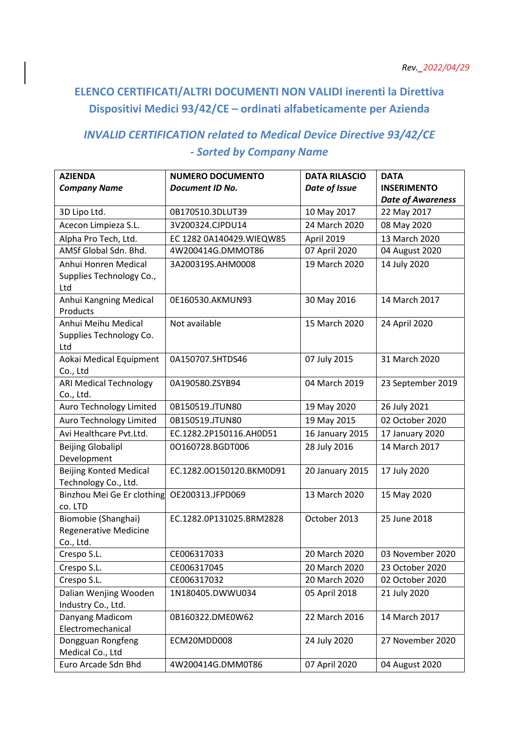## **ELENCO CERTIFICATI/ALTRI DOCUMENTI NON VALIDI inerenti la Direttiva Dispositivi Medici 93/42/CE – ordinati alfabeticamente per Azienda**

## *INVALID CERTIFICATION related to Medical Device Directive 93/42/CE - Sorted by Company Name*

| <b>AZIENDA</b>                                                   | <b>NUMERO DOCUMENTO</b>   | <b>DATA RILASCIO</b> | <b>DATA</b>              |
|------------------------------------------------------------------|---------------------------|----------------------|--------------------------|
| <b>Company Name</b>                                              | Document ID No.           | Date of Issue        | <b>INSERIMENTO</b>       |
|                                                                  |                           |                      | <b>Date of Awareness</b> |
| 3D Lipo Ltd.                                                     | 0B170510.3DLUT39          | 10 May 2017          | 22 May 2017              |
| Acecon Limpieza S.L.                                             | 3V200324.CJPDU14          | 24 March 2020        | 08 May 2020              |
| Alpha Pro Tech, Ltd.                                             | EC 1282 0A140429. WIEQW85 | April 2019           | 13 March 2020            |
| AMSf Global Sdn. Bhd.                                            | 4W200414G.DMMOT86         | 07 April 2020        | 04 August 2020           |
| Anhui Honren Medical<br>Supplies Technology Co.,<br>Ltd          | 3A200319S.AHM0008         | 19 March 2020        | 14 July 2020             |
| Anhui Kangning Medical<br>Products                               | 0E160530.AKMUN93          | 30 May 2016          | 14 March 2017            |
| Anhui Meihu Medical<br>Supplies Technology Co.<br>Ltd            | Not available             | 15 March 2020        | 24 April 2020            |
| Aokai Medical Equipment<br>Co., Ltd                              | 0A150707.SHTDS46          | 07 July 2015         | 31 March 2020            |
| <b>ARI Medical Technology</b><br>Co., Ltd.                       | 0A190580.ZSYB94           | 04 March 2019        | 23 September 2019        |
| Auro Technology Limited                                          | 0B150519.JTUN80           | 19 May 2020          | 26 July 2021             |
| Auro Technology Limited                                          | 0B150519.JTUN80           | 19 May 2015          | 02 October 2020          |
| Avi Healthcare Pvt.Ltd.                                          | EC.1282.2P150116.AH0D51   | 16 January 2015      | 17 January 2020          |
| <b>Beijing Globalipl</b><br>Development                          | 00160728.BGDT006          | 28 July 2016         | 14 March 2017            |
| <b>Beijing Konted Medical</b><br>Technology Co., Ltd.            | EC.1282.00150120.BKM0D91  | 20 January 2015      | 17 July 2020             |
| Binzhou Mei Ge Er clothing<br>co. LTD                            | OE200313.JFPD069          | 13 March 2020        | 15 May 2020              |
| Biomobie (Shanghai)<br><b>Regenerative Medicine</b><br>Co., Ltd. | EC.1282.0P131025.BRM2828  | October 2013         | 25 June 2018             |
| Crespo S.L.                                                      | CE006317033               | 20 March 2020        | 03 November 2020         |
| Crespo S.L.                                                      | CE006317045               | 20 March 2020        | 23 October 2020          |
| Crespo S.L.                                                      | CE006317032               | 20 March 2020        | 02 October 2020          |
| Dalian Wenjing Wooden<br>Industry Co., Ltd.                      | 1N180405.DWWU034          | 05 April 2018        | 21 July 2020             |
| Danyang Madicom<br>Electromechanical                             | 0B160322.DME0W62          | 22 March 2016        | 14 March 2017            |
| Dongguan Rongfeng<br>Medical Co., Ltd                            | ECM20MDD008               | 24 July 2020         | 27 November 2020         |
| Euro Arcade Sdn Bhd                                              | 4W200414G.DMM0T86         | 07 April 2020        | 04 August 2020           |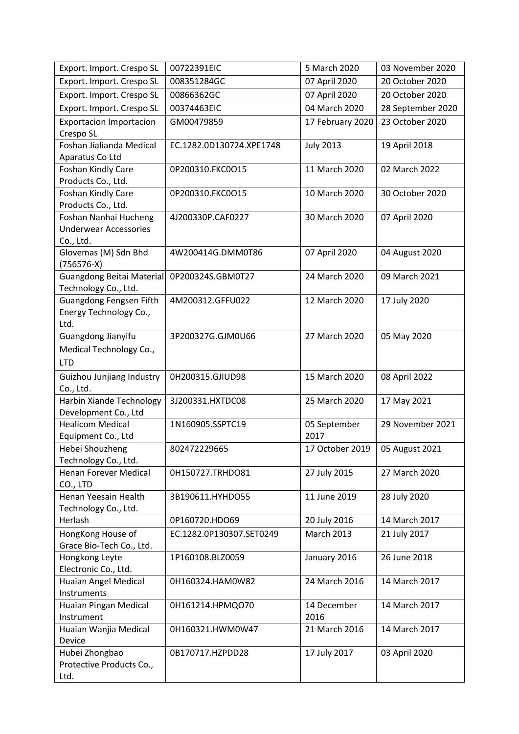| Export. Import. Crespo SL                   | 00722391EIC              | 5 March 2020      | 03 November 2020  |
|---------------------------------------------|--------------------------|-------------------|-------------------|
| Export. Import. Crespo SL                   | 008351284GC              | 07 April 2020     | 20 October 2020   |
| Export. Import. Crespo SL                   | 00866362GC               | 07 April 2020     | 20 October 2020   |
| Export. Import. Crespo SL                   | 00374463EIC              | 04 March 2020     | 28 September 2020 |
| <b>Exportacion Importacion</b>              | GM00479859               | 17 February 2020  | 23 October 2020   |
| Crespo SL                                   |                          |                   |                   |
| Foshan Jialianda Medical<br>Aparatus Co Ltd | EC.1282.0D130724.XPE1748 | <b>July 2013</b>  | 19 April 2018     |
| Foshan Kindly Care                          | 0P200310.FKC0O15         | 11 March 2020     | 02 March 2022     |
| Products Co., Ltd.                          |                          |                   |                   |
| Foshan Kindly Care                          | 0P200310.FKC0O15         | 10 March 2020     | 30 October 2020   |
| Products Co., Ltd.                          |                          |                   |                   |
| Foshan Nanhai Hucheng                       | 4J200330P.CAF0227        | 30 March 2020     | 07 April 2020     |
| <b>Underwear Accessories</b>                |                          |                   |                   |
| Co., Ltd.                                   |                          |                   |                   |
| Glovemas (M) Sdn Bhd                        | 4W200414G.DMM0T86        | 07 April 2020     | 04 August 2020    |
| $(756576-X)$                                |                          |                   |                   |
| <b>Guangdong Beitai Material</b>            | 0P200324S.GBM0T27        | 24 March 2020     | 09 March 2021     |
| Technology Co., Ltd.                        |                          |                   |                   |
| Guangdong Fengsen Fifth                     | 4M200312.GFFU022         | 12 March 2020     | 17 July 2020      |
| Energy Technology Co.,                      |                          |                   |                   |
| Ltd.                                        |                          |                   |                   |
| Guangdong Jianyifu                          | 3P200327G.GJM0U66        | 27 March 2020     | 05 May 2020       |
| Medical Technology Co.,                     |                          |                   |                   |
| <b>LTD</b>                                  |                          |                   |                   |
| Guizhou Junjiang Industry                   | 0H200315.GJIUD98         | 15 March 2020     | 08 April 2022     |
| Co., Ltd.                                   |                          |                   |                   |
| Harbin Xiande Technology                    | 3J200331.HXTDC08         | 25 March 2020     | 17 May 2021       |
| Development Co., Ltd                        |                          |                   |                   |
| <b>Healicom Medical</b>                     | 1N160905.SSPTC19         | 05 September      | 29 November 2021  |
| Equipment Co., Ltd                          |                          | 2017              |                   |
| Hebei Shouzheng                             | 802472229665             | 17 October 2019   | 05 August 2021    |
| Technology Co., Ltd.                        |                          |                   |                   |
| <b>Henan Forever Medical</b>                | 0H150727.TRHDO81         | 27 July 2015      | 27 March 2020     |
| CO., LTD<br>Henan Yeesain Health            | 3B190611.HYHDO55         | 11 June 2019      | 28 July 2020      |
| Technology Co., Ltd.                        |                          |                   |                   |
| Herlash                                     | 0P160720.HDO69           | 20 July 2016      | 14 March 2017     |
| HongKong House of                           | EC.1282.0P130307.SET0249 | <b>March 2013</b> | 21 July 2017      |
| Grace Bio-Tech Co., Ltd.                    |                          |                   |                   |
| Hongkong Leyte                              | 1P160108.BLZ0059         | January 2016      | 26 June 2018      |
| Electronic Co., Ltd.                        |                          |                   |                   |
| Huaian Angel Medical                        | 0H160324.HAM0W82         | 24 March 2016     | 14 March 2017     |
| Instruments                                 |                          |                   |                   |
| Huaian Pingan Medical                       | 0H161214.HPMQO70         | 14 December       | 14 March 2017     |
| Instrument                                  |                          | 2016              |                   |
| Huaian Wanjia Medical                       | 0H160321.HWM0W47         | 21 March 2016     | 14 March 2017     |
| Device                                      |                          |                   |                   |
| Hubei Zhongbao                              | 0B170717.HZPDD28         | 17 July 2017      | 03 April 2020     |
| Protective Products Co.,                    |                          |                   |                   |
| Ltd.                                        |                          |                   |                   |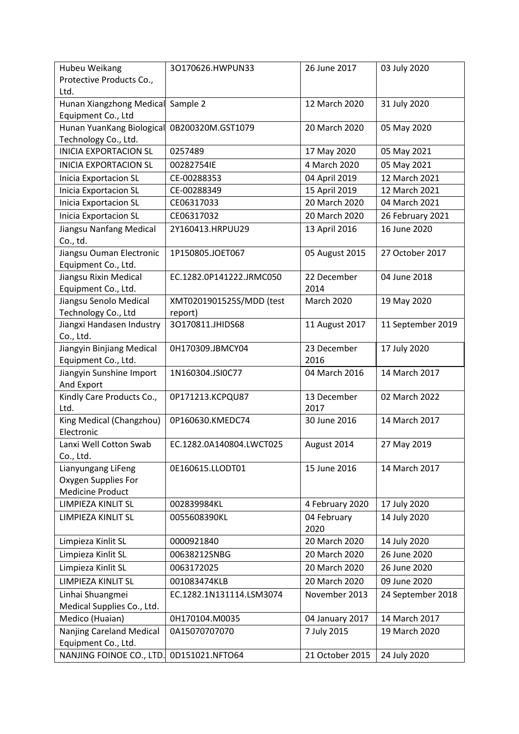| Hubeu Weikang<br>Protective Products Co.,        | 30170626.HWPUN33         | 26 June 2017        | 03 July 2020      |
|--------------------------------------------------|--------------------------|---------------------|-------------------|
| Ltd.                                             |                          |                     |                   |
| Hunan Xiangzhong Medical                         | Sample 2                 | 12 March 2020       | 31 July 2020      |
| Equipment Co., Ltd                               |                          |                     |                   |
| Hunan YuanKang Biological                        | 0B200320M.GST1079        | 20 March 2020       | 05 May 2020       |
| Technology Co., Ltd.                             |                          |                     |                   |
| <b>INICIA EXPORTACION SL</b>                     | 0257489                  | 17 May 2020         | 05 May 2021       |
| <b>INICIA EXPORTACION SL</b>                     | 00282754IE               | 4 March 2020        | 05 May 2021       |
| <b>Inicia Exportacion SL</b>                     | CE-00288353              | 04 April 2019       | 12 March 2021     |
| <b>Inicia Exportacion SL</b>                     | CE-00288349              | 15 April 2019       | 12 March 2021     |
| <b>Inicia Exportacion SL</b>                     | CE06317033               | 20 March 2020       | 04 March 2021     |
| <b>Inicia Exportacion SL</b>                     | CE06317032               | 20 March 2020       | 26 February 2021  |
| Jiangsu Nanfang Medical                          | 2Y160413.HRPUU29         | 13 April 2016       | 16 June 2020      |
| Co., td.                                         |                          |                     |                   |
| Jiangsu Ouman Electronic<br>Equipment Co., Ltd.  | 1P150805.JOET067         | 05 August 2015      | 27 October 2017   |
| Jiangsu Rixin Medical                            | EC.1282.0P141222.JRMC050 | 22 December         | 04 June 2018      |
| Equipment Co., Ltd.                              |                          | 2014                |                   |
| Jiangsu Senolo Medical                           | XMT0201901525S/MDD (test | <b>March 2020</b>   | 19 May 2020       |
| Technology Co., Ltd                              | report)                  |                     |                   |
| Jiangxi Handasen Industry                        | 30170811.JHIDS68         | 11 August 2017      | 11 September 2019 |
| Co., Ltd.                                        |                          |                     |                   |
| Jiangyin Binjiang Medical<br>Equipment Co., Ltd. | 0H170309.JBMCY04         | 23 December<br>2016 | 17 July 2020      |
| Jiangyin Sunshine Import                         | 1N160304.JSI0C77         | 04 March 2016       | 14 March 2017     |
| And Export                                       |                          |                     |                   |
| Kindly Care Products Co.,                        | 0P171213.KCPQU87         | 13 December         | 02 March 2022     |
| Ltd.                                             |                          | 2017                |                   |
| King Medical (Changzhou)                         | 0P160630.KMEDC74         | 30 June 2016        | 14 March 2017     |
| Electronic                                       |                          |                     |                   |
| Lanxi Well Cotton Swab                           | EC.1282.0A140804.LWCT025 | August 2014         | 27 May 2019       |
| Co., Ltd.                                        |                          |                     |                   |
| Lianyungang LiFeng                               | 0E160615.LLODT01         | 15 June 2016        | 14 March 2017     |
| Oxygen Supplies For<br><b>Medicine Product</b>   |                          |                     |                   |
| LIMPIEZA KINLIT SL                               | 002839984KL              | 4 February 2020     | 17 July 2020      |
|                                                  |                          |                     |                   |
| LIMPIEZA KINLIT SL                               | 0055608390KL             | 04 February<br>2020 | 14 July 2020      |
| Limpieza Kinlit SL                               | 0000921840               | 20 March 2020       | 14 July 2020      |
| Limpieza Kinlit SL                               | 00638212SNBG             | 20 March 2020       | 26 June 2020      |
|                                                  |                          |                     |                   |
| Limpieza Kinlit SL                               | 0063172025               | 20 March 2020       | 26 June 2020      |
| LIMPIEZA KINLIT SL                               | 001083474KLB             | 20 March 2020       | 09 June 2020      |
| Linhai Shuangmei                                 | EC.1282.1N131114.LSM3074 | November 2013       | 24 September 2018 |
| Medical Supplies Co., Ltd.                       |                          |                     |                   |
| Medico (Huaian)                                  | 0H170104.M0035           | 04 January 2017     | 14 March 2017     |
| Nanjing Careland Medical                         | 0A15070707070            | 7 July 2015         | 19 March 2020     |
| Equipment Co., Ltd.                              |                          |                     |                   |
| NANJING FOINOE CO., LTD.                         | 0D151021.NFTO64          | 21 October 2015     | 24 July 2020      |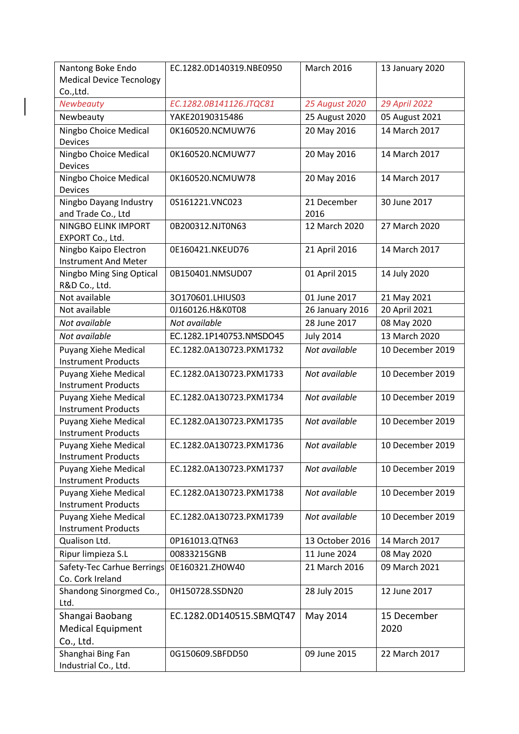| Nantong Boke Endo                                  | EC.1282.0D140319.NBE0950 | <b>March 2016</b> | 13 January 2020  |
|----------------------------------------------------|--------------------------|-------------------|------------------|
| <b>Medical Device Tecnology</b>                    |                          |                   |                  |
| Co., Ltd.                                          |                          |                   |                  |
| Newbeauty                                          | EC.1282.0B141126.JTQC81  | 25 August 2020    | 29 April 2022    |
| Newbeauty                                          | YAKE20190315486          | 25 August 2020    | 05 August 2021   |
| Ningbo Choice Medical<br><b>Devices</b>            | 0K160520.NCMUW76         | 20 May 2016       | 14 March 2017    |
| Ningbo Choice Medical                              | 0K160520.NCMUW77         | 20 May 2016       | 14 March 2017    |
| <b>Devices</b>                                     |                          |                   |                  |
| Ningbo Choice Medical                              | 0K160520.NCMUW78         | 20 May 2016       | 14 March 2017    |
| <b>Devices</b>                                     |                          |                   |                  |
| Ningbo Dayang Industry                             | 0S161221.VNC023          | 21 December       | 30 June 2017     |
| and Trade Co., Ltd                                 |                          | 2016              |                  |
| NINGBO ELINK IMPORT                                | 0B200312.NJT0N63         | 12 March 2020     | 27 March 2020    |
| EXPORT Co., Ltd.                                   |                          |                   |                  |
| Ningbo Kaipo Electron                              | 0E160421.NKEUD76         | 21 April 2016     | 14 March 2017    |
| <b>Instrument And Meter</b>                        |                          |                   |                  |
| Ningbo Ming Sing Optical                           | 0B150401.NMSUD07         | 01 April 2015     | 14 July 2020     |
| R&D Co., Ltd.                                      |                          |                   |                  |
| Not available                                      | 30170601.LHIUS03         | 01 June 2017      | 21 May 2021      |
| Not available                                      | 0J160126.H&K0T08         | 26 January 2016   | 20 April 2021    |
| Not available                                      | Not available            | 28 June 2017      | 08 May 2020      |
| Not available                                      | EC.1282.1P140753.NMSDO45 | <b>July 2014</b>  | 13 March 2020    |
| Puyang Xiehe Medical                               | EC.1282.0A130723.PXM1732 | Not available     | 10 December 2019 |
| <b>Instrument Products</b>                         |                          |                   |                  |
| Puyang Xiehe Medical                               | EC.1282.0A130723.PXM1733 | Not available     | 10 December 2019 |
| <b>Instrument Products</b>                         |                          |                   |                  |
| Puyang Xiehe Medical                               | EC.1282.0A130723.PXM1734 | Not available     | 10 December 2019 |
| <b>Instrument Products</b>                         |                          |                   |                  |
| Puyang Xiehe Medical                               | EC.1282.0A130723.PXM1735 | Not available     | 10 December 2019 |
| <b>Instrument Products</b>                         |                          |                   |                  |
| Puyang Xiehe Medical                               | EC.1282.0A130723.PXM1736 | Not available     | 10 December 2019 |
| <b>Instrument Products</b>                         |                          |                   |                  |
| <b>Puyang Xiehe Medical</b>                        | EC.1282.0A130723.PXM1737 | Not available     | 10 December 2019 |
| <b>Instrument Products</b>                         |                          |                   |                  |
| Puyang Xiehe Medical                               | EC.1282.0A130723.PXM1738 | Not available     | 10 December 2019 |
| <b>Instrument Products</b>                         | EC.1282.0A130723.PXM1739 | Not available     |                  |
| Puyang Xiehe Medical<br><b>Instrument Products</b> |                          |                   | 10 December 2019 |
| Qualison Ltd.                                      | 0P161013.QTN63           | 13 October 2016   | 14 March 2017    |
| Ripur limpieza S.L                                 | 00833215GNB              | 11 June 2024      | 08 May 2020      |
|                                                    |                          |                   |                  |
| Safety-Tec Carhue Berrings<br>Co. Cork Ireland     | 0E160321.ZH0W40          | 21 March 2016     | 09 March 2021    |
| Shandong Sinorgmed Co.,                            | 0H150728.SSDN20          | 28 July 2015      | 12 June 2017     |
| Ltd.                                               |                          |                   |                  |
| Shangai Baobang                                    | EC.1282.0D140515.SBMQT47 | May 2014          | 15 December      |
| <b>Medical Equipment</b>                           |                          |                   | 2020             |
| Co., Ltd.                                          |                          |                   |                  |
| Shanghai Bing Fan                                  | 0G150609.SBFDD50         | 09 June 2015      | 22 March 2017    |
|                                                    |                          |                   |                  |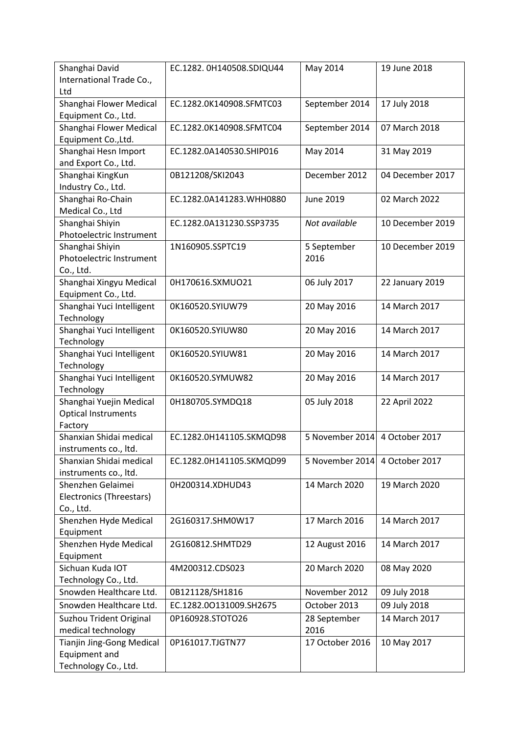| Shanghai David<br>International Trade Co.,<br>Ltd                         | EC.1282. 0H140508.SDIQU44 | May 2014             | 19 June 2018     |
|---------------------------------------------------------------------------|---------------------------|----------------------|------------------|
| Shanghai Flower Medical<br>Equipment Co., Ltd.                            | EC.1282.0K140908.SFMTC03  | September 2014       | 17 July 2018     |
| Shanghai Flower Medical<br>Equipment Co., Ltd.                            | EC.1282.0K140908.SFMTC04  | September 2014       | 07 March 2018    |
| Shanghai Hesn Import<br>and Export Co., Ltd.                              | EC.1282.0A140530.SHIP016  | May 2014             | 31 May 2019      |
| Shanghai KingKun<br>Industry Co., Ltd.                                    | 0B121208/SKI2043          | December 2012        | 04 December 2017 |
| Shanghai Ro-Chain<br>Medical Co., Ltd                                     | EC.1282.0A141283.WHH0880  | <b>June 2019</b>     | 02 March 2022    |
| Shanghai Shiyin<br>Photoelectric Instrument                               | EC.1282.0A131230.SSP3735  | Not available        | 10 December 2019 |
| Shanghai Shiyin<br>Photoelectric Instrument<br>Co., Ltd.                  | 1N160905.SSPTC19          | 5 September<br>2016  | 10 December 2019 |
| Shanghai Xingyu Medical<br>Equipment Co., Ltd.                            | 0H170616.SXMUO21          | 06 July 2017         | 22 January 2019  |
| Shanghai Yuci Intelligent<br>Technology                                   | 0K160520.SYIUW79          | 20 May 2016          | 14 March 2017    |
| Shanghai Yuci Intelligent<br>Technology                                   | 0K160520.SYIUW80          | 20 May 2016          | 14 March 2017    |
| Shanghai Yuci Intelligent<br>Technology                                   | 0K160520.SYIUW81          | 20 May 2016          | 14 March 2017    |
| Shanghai Yuci Intelligent<br>Technology                                   | 0K160520.SYMUW82          | 20 May 2016          | 14 March 2017    |
| Shanghai Yuejin Medical<br><b>Optical Instruments</b><br>Factory          | 0H180705.SYMDQ18          | 05 July 2018         | 22 April 2022    |
| Shanxian Shidai medical<br>instruments co., Itd.                          | EC.1282.0H141105.SKMQD98  | 5 November 2014      | 4 October 2017   |
| Shanxian Shidai medical<br>instruments co., ltd.                          | EC.1282.0H141105.SKMQD99  | 5 November 2014      | 4 October 2017   |
| Shenzhen Gelaimei<br>Electronics (Threestars)<br>Co., Ltd.                | 0H200314.XDHUD43          | 14 March 2020        | 19 March 2020    |
| Shenzhen Hyde Medical<br>Equipment                                        | 2G160317.SHM0W17          | 17 March 2016        | 14 March 2017    |
| Shenzhen Hyde Medical<br>Equipment                                        | 2G160812.SHMTD29          | 12 August 2016       | 14 March 2017    |
| Sichuan Kuda IOT<br>Technology Co., Ltd.                                  | 4M200312.CDS023           | 20 March 2020        | 08 May 2020      |
| Snowden Healthcare Ltd.                                                   | 0B121128/SH1816           | November 2012        | 09 July 2018     |
| Snowden Healthcare Ltd.                                                   | EC.1282.00131009.SH2675   | October 2013         | 09 July 2018     |
| Suzhou Trident Original<br>medical technology                             | 0P160928.STOTO26          | 28 September<br>2016 | 14 March 2017    |
| <b>Tianjin Jing-Gong Medical</b><br>Equipment and<br>Technology Co., Ltd. | 0P161017.TJGTN77          | 17 October 2016      | 10 May 2017      |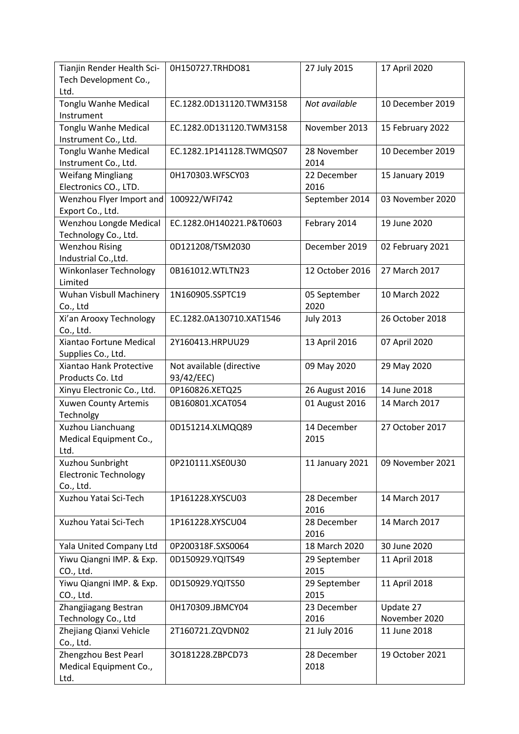| Tianjin Render Health Sci-<br>Tech Development Co.,<br>Ltd.   | 0H150727.TRHDO81                       | 27 July 2015         | 17 April 2020              |
|---------------------------------------------------------------|----------------------------------------|----------------------|----------------------------|
| Tonglu Wanhe Medical<br>Instrument                            | EC.1282.0D131120.TWM3158               | Not available        | 10 December 2019           |
| <b>Tonglu Wanhe Medical</b><br>Instrument Co., Ltd.           | EC.1282.0D131120.TWM3158               | November 2013        | 15 February 2022           |
| <b>Tonglu Wanhe Medical</b><br>Instrument Co., Ltd.           | EC.1282.1P141128.TWMQS07               | 28 November<br>2014  | 10 December 2019           |
| <b>Weifang Mingliang</b><br>Electronics CO., LTD.             | 0H170303.WFSCY03                       | 22 December<br>2016  | 15 January 2019            |
| Wenzhou Flyer Import and<br>Export Co., Ltd.                  | 100922/WFI742                          | September 2014       | 03 November 2020           |
| Wenzhou Longde Medical<br>Technology Co., Ltd.                | EC.1282.0H140221.P&T0603               | Febrary 2014         | 19 June 2020               |
| <b>Wenzhou Rising</b><br>Industrial Co., Ltd.                 | 0D121208/TSM2030                       | December 2019        | 02 February 2021           |
| Winkonlaser Technology<br>Limited                             | 0B161012.WTLTN23                       | 12 October 2016      | 27 March 2017              |
| Wuhan Visbull Machinery<br>Co., Ltd                           | 1N160905.SSPTC19                       | 05 September<br>2020 | 10 March 2022              |
| Xi'an Arooxy Technology<br>Co., Ltd.                          | EC.1282.0A130710.XAT1546               | <b>July 2013</b>     | 26 October 2018            |
| Xiantao Fortune Medical<br>Supplies Co., Ltd.                 | 2Y160413.HRPUU29                       | 13 April 2016        | 07 April 2020              |
| Xiantao Hank Protective<br>Products Co. Ltd                   | Not available (directive<br>93/42/EEC) | 09 May 2020          | 29 May 2020                |
| Xinyu Electronic Co., Ltd.                                    | 0P160826.XETQ25                        | 26 August 2016       | 14 June 2018               |
| Xuwen County Artemis<br>Technolgy                             | 0B160801.XCAT054                       | 01 August 2016       | 14 March 2017              |
| Xuzhou Lianchuang<br>Medical Equipment Co.,<br>Ltd.           | 0D151214.XLMQQ89                       | 14 December<br>2015  | 27 October 2017            |
| Xuzhou Sunbright<br><b>Electronic Technology</b><br>Co., Ltd. | 0P210111.XSE0U30                       | 11 January 2021      | 09 November 2021           |
| Xuzhou Yatai Sci-Tech                                         | 1P161228.XYSCU03                       | 28 December<br>2016  | 14 March 2017              |
| Xuzhou Yatai Sci-Tech                                         | 1P161228.XYSCU04                       | 28 December<br>2016  | 14 March 2017              |
| Yala United Company Ltd                                       | 0P200318F.SXS0064                      | 18 March 2020        | 30 June 2020               |
| Yiwu Qiangni IMP. & Exp.<br>CO., Ltd.                         | 0D150929.YQITS49                       | 29 September<br>2015 | 11 April 2018              |
| Yiwu Qiangni IMP. & Exp.<br>CO., Ltd.                         | 0D150929.YQITS50                       | 29 September<br>2015 | 11 April 2018              |
| Zhangjiagang Bestran<br>Technology Co., Ltd                   | 0H170309.JBMCY04                       | 23 December<br>2016  | Update 27<br>November 2020 |
| Zhejiang Qianxi Vehicle<br>Co., Ltd.                          | 2T160721.ZQVDN02                       | 21 July 2016         | 11 June 2018               |
| Zhengzhou Best Pearl<br>Medical Equipment Co.,<br>Ltd.        | 30181228.ZBPCD73                       | 28 December<br>2018  | 19 October 2021            |